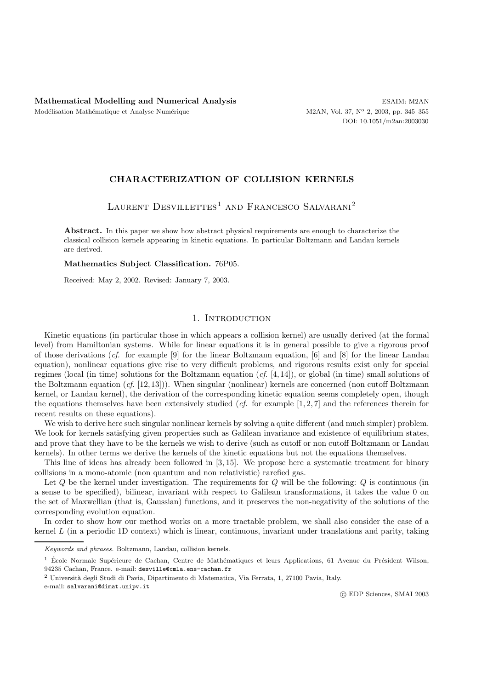## **CHARACTERIZATION OF COLLISION KERNELS**

LAURENT DESVILLETTES<sup>1</sup> AND FRANCESCO SALVARANI<sup>2</sup>

**Abstract.** In this paper we show how abstract physical requirements are enough to characterize the classical collision kernels appearing in kinetic equations. In particular Boltzmann and Landau kernels are derived.

#### **Mathematics Subject Classification.** 76P05.

Received: May 2, 2002. Revised: January 7, 2003.

# 1. INTRODUCTION

Kinetic equations (in particular those in which appears a collision kernel) are usually derived (at the formal level) from Hamiltonian systems. While for linear equations it is in general possible to give a rigorous proof of those derivations (*cf.* for example [9] for the linear Boltzmann equation, [6] and [8] for the linear Landau equation), nonlinear equations give rise to very difficult problems, and rigorous results exist only for special regimes (local (in time) solutions for the Boltzmann equation (*cf.* [4, 14]), or global (in time) small solutions of the Boltzmann equation (*cf.* [12, 13])). When singular (nonlinear) kernels are concerned (non cutoff Boltzmann kernel, or Landau kernel), the derivation of the corresponding kinetic equation seems completely open, though the equations themselves have been extensively studied (*cf.* for example [1, 2, 7] and the references therein for recent results on these equations).

We wish to derive here such singular nonlinear kernels by solving a quite different (and much simpler) problem. We look for kernels satisfying given properties such as Galilean invariance and existence of equilibrium states, and prove that they have to be the kernels we wish to derive (such as cutoff or non cutoff Boltzmann or Landau kernels). In other terms we derive the kernels of the kinetic equations but not the equations themselves.

This line of ideas has already been followed in [3, 15]. We propose here a systematic treatment for binary collisions in a mono-atomic (non quantum and non relativistic) rarefied gas.

Let  $Q$  be the kernel under investigation. The requirements for  $Q$  will be the following:  $Q$  is continuous (in a sense to be specified), bilinear, invariant with respect to Galilean transformations, it takes the value 0 on the set of Maxwellian (that is, Gaussian) functions, and it preserves the non-negativity of the solutions of the corresponding evolution equation.

In order to show how our method works on a more tractable problem, we shall also consider the case of a kernel  $L$  (in a periodic 1D context) which is linear, continuous, invariant under translations and parity, taking

e-mail: salvarani@dimat.unipv.it

Keywords and phrases. Boltzmann, Landau, collision kernels.

<sup>&</sup>lt;sup>1</sup> École Normale Supérieure de Cachan, Centre de Mathématiques et leurs Applications, 61 Avenue du Président Wilson, 94235 Cachan, France. e-mail: desville@cmla.ens-cachan.fr

<sup>2</sup> Universit`a degli Studi di Pavia, Dipartimento di Matematica, Via Ferrata, 1, 27100 Pavia, Italy.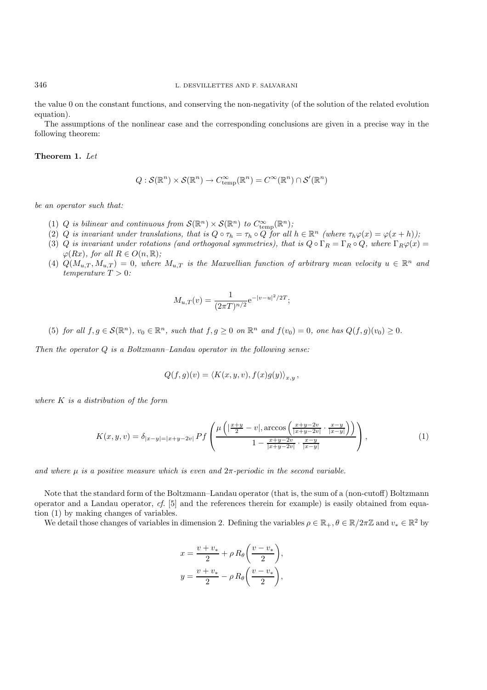the value 0 on the constant functions, and conserving the non-negativity (of the solution of the related evolution equation).

The assumptions of the nonlinear case and the corresponding conclusions are given in a precise way in the following theorem:

### **Theorem 1.** *Let*

$$
Q: \mathcal{S}(\mathbb{R}^n) \times \mathcal{S}(\mathbb{R}^n) \to C_{\text{temp}}^{\infty}(\mathbb{R}^n) = C^{\infty}(\mathbb{R}^n) \cap \mathcal{S}'(\mathbb{R}^n)
$$

*be an operator such that:*

- (1) Q is bilinear and continuous from  $\mathcal{S}(\mathbb{R}^n) \times \mathcal{S}(\mathbb{R}^n)$  to  $C_{\text{temp}}^{\infty}(\mathbb{R}^n)$ ;<br>(2) Q is invariant under translations, that is  $\Omega \circ \tau = \tau$ ,  $\Omega$  or  $\Omega$  for all
- (2) Q is invariant under translations, that is  $Q \circ \tau_h = \tau_h \circ Q$  for all  $h \in \mathbb{R}^n$  *(where*  $\tau_h \varphi(x) = \varphi(x+h)$ *)*;
- (3) Q *is invariant under rotations (and orthogonal symmetries), that is*  $Q \circ \Gamma_R = \Gamma_R \circ Q$ , where  $\Gamma_R \varphi(x) =$  $\varphi(Rx)$ *, for all*  $R \in O(n, \mathbb{R})$ *;*
- (4)  $Q(M_{u,T}, M_{u,T})=0$ , where  $M_{u,T}$  is the Maxwellian function of arbitrary mean velocity  $u \in \mathbb{R}^n$  and *temperature*  $T > 0$ *:*

$$
M_{u,T}(v) = \frac{1}{(2\pi T)^{n/2}} e^{-|v-u|^2/2T};
$$

(5) *for all*  $f, g \in \mathcal{S}(\mathbb{R}^n)$ ,  $v_0 \in \mathbb{R}^n$ , such that  $f, g \geq 0$  *on*  $\mathbb{R}^n$  *and*  $f(v_0) = 0$ *, one has*  $Q(f, g)(v_0) \geq 0$ *.* 

*Then the operator* Q *is a Boltzmann–Landau operator in the following sense:*

$$
Q(f,g)(v) = \langle K(x,y,v), f(x)g(y) \rangle_{x,y},
$$

*where* K *is a distribution of the form*

$$
K(x, y, v) = \delta_{|x-y|=|x+y-2v|} Pf\left(\frac{\mu\left(|\frac{x+y}{2}-v|, \arccos\left(\frac{x+y-2v}{|x+y-2v|}\cdot\frac{x-y}{|x-y|}\right)\right)}{1-\frac{x+y-2v}{|x+y-2v|}\cdot\frac{x-y}{|x-y|}}\right),\tag{1}
$$

*and where*  $\mu$  *is a positive measure which is even and*  $2\pi$ -periodic *in the second variable.* 

Note that the standard form of the Boltzmann–Landau operator (that is, the sum of a (non-cutoff) Boltzmann operator and a Landau operator, *cf.* [5] and the references therein for example) is easily obtained from equation (1) by making changes of variables.

We detail those changes of variables in dimension 2. Defining the variables  $\rho \in \mathbb{R}_+$ ,  $\theta \in \mathbb{R}/2\pi\mathbb{Z}$  and  $v_* \in \mathbb{R}^2$  by

$$
x = \frac{v + v_*}{2} + \rho R_{\theta} \left( \frac{v - v_*}{2} \right),
$$
  

$$
y = \frac{v + v_*}{2} - \rho R_{\theta} \left( \frac{v - v_*}{2} \right),
$$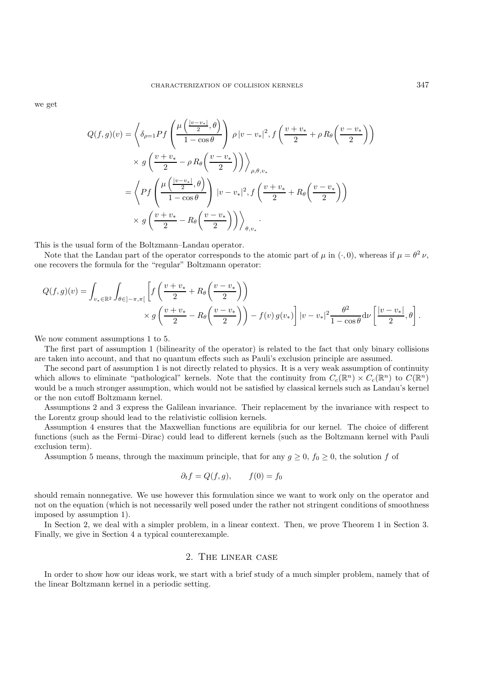we get

$$
Q(f,g)(v) = \left\langle \delta_{\rho=1} Pf \left( \frac{\mu\left(\frac{|v-v_*|}{2}, \theta\right)}{1 - \cos\theta} \right) \rho |v-v_*|^2, f\left(\frac{v+v_*}{2} + \rho R_{\theta}\left(\frac{v-v_*}{2}\right)\right) \right\rangle
$$
  
 
$$
\times g\left( \frac{v+v_*}{2} - \rho R_{\theta}\left(\frac{v-v_*}{2}\right) \right) \right\rangle_{\rho, \theta, v_*}
$$
  
= 
$$
\left\langle Pf \left( \frac{\mu\left(\frac{|v-v_*|}{2}, \theta\right)}{1 - \cos\theta} \right) |v-v_*|^2, f\left(\frac{v+v_*}{2} + R_{\theta}\left(\frac{v-v_*}{2}\right)\right) \right\rangle
$$
  
 
$$
\times g\left( \frac{v+v_*}{2} - R_{\theta}\left(\frac{v-v_*}{2}\right) \right) \right\rangle_{\theta, v_*}.
$$

This is the usual form of the Boltzmann–Landau operator.

Note that the Landau part of the operator corresponds to the atomic part of  $\mu$  in  $(\cdot, 0)$ , whereas if  $\mu = \theta^2 \nu$ , one recovers the formula for the "regular" Boltzmann operator:

$$
Q(f,g)(v) = \int_{v_* \in \mathbb{R}^2} \int_{\theta \in ]-\pi,\pi[} \left[ f\left(\frac{v+v_*}{2} + R_{\theta}\left(\frac{v-v_*}{2}\right)\right) \times g\left(\frac{v+v_*}{2} - R_{\theta}\left(\frac{v-v_*}{2}\right)\right) - f(v) g(v_*) \right] |v - v_*|^2 \frac{\theta^2}{1 - \cos\theta} d\nu \left[ \frac{|v - v_*|}{2}, \theta \right].
$$

We now comment assumptions 1 to 5.

The first part of assumption 1 (bilinearity of the operator) is related to the fact that only binary collisions are taken into account, and that no quantum effects such as Pauli's exclusion principle are assumed.

The second part of assumption 1 is not directly related to physics. It is a very weak assumption of continuity which allows to eliminate "pathological" kernels. Note that the continuity from  $C_c(\mathbb{R}^n) \times C_c(\mathbb{R}^n)$  to  $C(\mathbb{R}^n)$ would be a much stronger assumption, which would not be satisfied by classical kernels such as Landau's kernel or the non cutoff Boltzmann kernel.

Assumptions 2 and 3 express the Galilean invariance. Their replacement by the invariance with respect to the Lorentz group should lead to the relativistic collision kernels.

Assumption 4 ensures that the Maxwellian functions are equilibria for our kernel. The choice of different functions (such as the Fermi–Dirac) could lead to different kernels (such as the Boltzmann kernel with Pauli exclusion term).

Assumption 5 means, through the maximum principle, that for any  $g \ge 0$ ,  $f_0 \ge 0$ , the solution f of

$$
\partial_t f = Q(f, g), \qquad f(0) = f_0
$$

should remain nonnegative. We use however this formulation since we want to work only on the operator and not on the equation (which is not necessarily well posed under the rather not stringent conditions of smoothness imposed by assumption 1).

In Section 2, we deal with a simpler problem, in a linear context. Then, we prove Theorem 1 in Section 3. Finally, we give in Section 4 a typical counterexample.

## 2. The linear case

In order to show how our ideas work, we start with a brief study of a much simpler problem, namely that of the linear Boltzmann kernel in a periodic setting.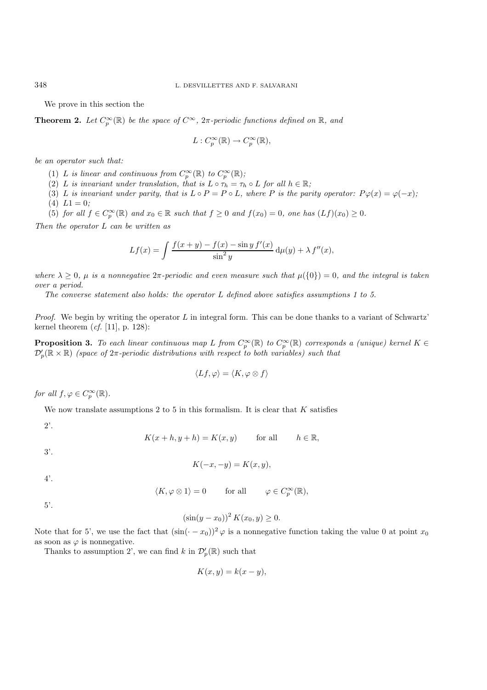We prove in this section the

**Theorem 2.** Let  $C_p^{\infty}(\mathbb{R})$  be the space of  $C^{\infty}$ ,  $2\pi$ -periodic functions defined on  $\mathbb{R}$ , and

$$
L: C_p^{\infty}(\mathbb{R}) \to C_p^{\infty}(\mathbb{R}),
$$

*be an operator such that:*

- (1) L is linear and continuous from  $C_p^{\infty}(\mathbb{R})$  to  $C_p^{\infty}(\mathbb{R})$ ;<br>(2) L is invariant under translation, that is  $I \circ \tau = \tau$ .
- (2) L *is invariant under translation, that is*  $L \circ \tau_h = \tau_h \circ L$  *for all*  $h \in \mathbb{R}$ *;*
- (3) L *is invariant under parity, that is*  $L \circ P = P \circ L$ *, where* P *is the parity operator:*  $P\varphi(x) = \varphi(-x)$ *;*<br>(4)  $L1 = 0$ *;* (4)  $L1 = 0;$ <br>(5) for all
- (5) *for all*  $f \in C_p^{\infty}(\mathbb{R})$  *and*  $x_0 \in \mathbb{R}$  *such that*  $f \ge 0$  *and*  $f(x_0) = 0$ *, one has*  $(Lf)(x_0) \ge 0$ *.*

*Then the operator* L *can be written as*

$$
Lf(x) = \int \frac{f(x+y) - f(x) - \sin y f'(x)}{\sin^2 y} d\mu(y) + \lambda f''(x),
$$

*where*  $\lambda > 0$ ,  $\mu$  *is a nonnegative*  $2\pi$ -periodic and even measure such that  $\mu({0}) = 0$ , and the integral is taken *over a period.*

*The converse statement also holds: the operator* L *defined above satisfies assumptions 1 to 5.*

*Proof.* We begin by writing the operator L in integral form. This can be done thanks to a variant of Schwartz' kernel theorem (*cf.* [11], p. 128):

**Proposition 3.** To each linear continuous map L from  $C_p^{\infty}(\mathbb{R})$  to  $C_p^{\infty}(\mathbb{R})$  corresponds a (unique) kernel  $K \in \mathcal{D}'(\mathbb{R} \times \mathbb{R})$  (engre of  $2\pi$ -periodic distributions with respect to both variables) such  $\mathcal{D}'_p(\mathbb{R} \times \mathbb{R})$  *(space of*  $2\pi$ -periodic distributions with respect to both variables) such that

$$
\langle Lf, \varphi \rangle = \langle K, \varphi \otimes f \rangle
$$

*for all*  $f, \varphi \in C_p^{\infty}(\mathbb{R})$ *.* 

We now translate assumptions 2 to 5 in this formalism. It is clear that  $K$  satisfies

2'.

$$
K(x+h, y+h) = K(x, y) \quad \text{for all} \quad h \in \mathbb{R},
$$

3'.

$$
K(-x, -y) = K(x, y),
$$

4'.

 $\langle K, \varphi \otimes 1 \rangle = 0$  for all  $\varphi \in C_p^{\infty}(\mathbb{R}),$ 

5'.

$$
(\sin(y - x_0))^2 K(x_0, y) \ge 0.
$$

Note that for 5', we use the fact that  $(\sin(-x_0))^2 \varphi$  is a nonnegative function taking the value 0 at point  $x_0$ as soon as  $\varphi$  is nonnegative.

Thanks to assumption 2', we can find k in  $\mathcal{D}'_p(\mathbb{R})$  such that

$$
K(x,y) = k(x - y),
$$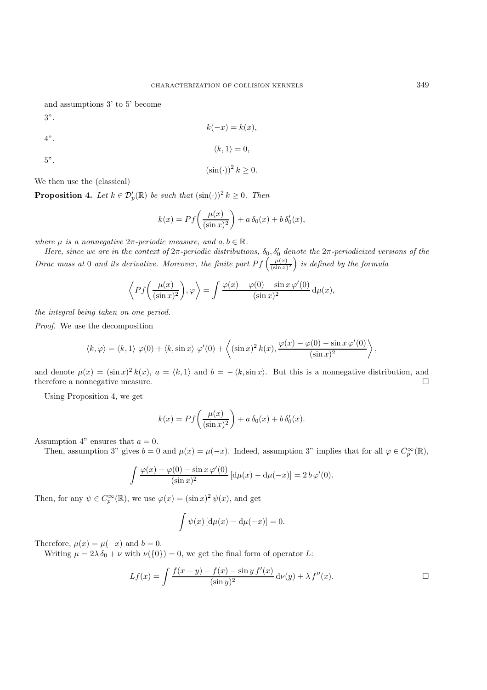and assumptions 3' to 5' become

3".

4".

$$
k(-x) = k(x),
$$

$$
\langle k, 1 \rangle = 0,
$$

5".

$$
(\sin(\cdot))^2 k \ge 0.
$$

We then use the (classical)

**Proposition 4.** *Let*  $k \in \mathcal{D}'_p(\mathbb{R})$  *be such that*  $(\sin(\cdot))^2$   $k \geq 0$ *. Then* 

$$
k(x) = Pf\left(\frac{\mu(x)}{(\sin x)^2}\right) + a\,\delta_0(x) + b\,\delta'_0(x),
$$

*where*  $\mu$  *is a nonnegative*  $2\pi$ -*periodic measure, and*  $a, b \in \mathbb{R}$ *.* 

*Here, since we are in the context of*  $2\pi$ -periodic distributions,  $\delta_0$ ,  $\delta'_0$  denote the  $2\pi$ -periodicized versions of the *Dirac mass at* 0 *and its derivative. Moreover, the finite part*  $Pf\left(\frac{\mu(x)}{(\sin x)^2}\right)$  is defined by the formula

$$
\left\langle Pf\left(\frac{\mu(x)}{(\sin x)^2}\right), \varphi \right\rangle = \int \frac{\varphi(x) - \varphi(0) - \sin x \varphi'(0)}{(\sin x)^2} d\mu(x),
$$

*the integral being taken on one period.*

*Proof.* We use the decomposition

$$
\langle k, \varphi \rangle = \langle k, 1 \rangle \varphi(0) + \langle k, \sin x \rangle \varphi'(0) + \left\langle (\sin x)^2 k(x), \frac{\varphi(x) - \varphi(0) - \sin x \varphi'(0)}{(\sin x)^2} \right\rangle,
$$

and denote  $\mu(x) = (\sin x)^2 k(x)$ ,  $a = \langle k, 1 \rangle$  and  $b = -\langle k, \sin x \rangle$ . But this is a nonnegative distribution, and therefore a nonnegative measure. therefore a nonnegative measure.

Using Proposition 4, we get

$$
k(x) = Pf\left(\frac{\mu(x)}{(\sin x)^2}\right) + a\,\delta_0(x) + b\,\delta'_0(x).
$$

Assumption 4" ensures that  $a = 0$ .

Then, assumption 3" gives  $b = 0$  and  $\mu(x) = \mu(-x)$ . Indeed, assumption 3" implies that for all  $\varphi \in C_p^{\infty}(\mathbb{R})$ ,

$$
\int \frac{\varphi(x) - \varphi(0) - \sin x \varphi'(0)}{(\sin x)^2} [d\mu(x) - d\mu(-x)] = 2 b \varphi'(0).
$$

Then, for any  $\psi \in C_p^{\infty}(\mathbb{R})$ , we use  $\varphi(x) = (\sin x)^2 \psi(x)$ , and get

$$
\int \psi(x) \left[ d\mu(x) - d\mu(-x) \right] = 0.
$$

Therefore,  $\mu(x) = \mu(-x)$  and  $b = 0$ .

Writing  $\mu = 2\lambda \delta_0 + \nu$  with  $\nu({0}) = 0$ , we get the final form of operator L:

$$
Lf(x) = \int \frac{f(x + y) - f(x) - \sin y f'(x)}{(\sin y)^2} \, d\nu(y) + \lambda f''(x).
$$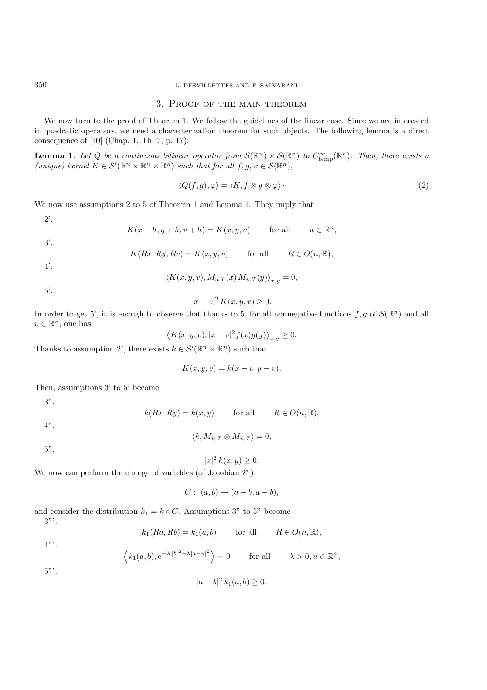#### 350 L. DESVILLETTES AND F. SALVARANI

### 3. Proof of the main theorem

We now turn to the proof of Theorem 1. We follow the guidelines of the linear case. Since we are interested in quadratic operators, we need a characterization theorem for such objects. The following lemma is a direct consequence of [10] (Chap. 1, Th. 7, p. 17):

**Lemma 1.** *Let*  $Q$  *be a continuous bilinear operator from*  $\mathcal{S}(\mathbb{R}^n) \times \mathcal{S}(\mathbb{R}^n)$  *to*  $C_{\text{temp}}^{\infty}(\mathbb{R}^n)$ *. Then, there exists a (unique)* kernal  $K \in \mathcal{S}'(\mathbb{R}^n \times \mathbb{R}^n)$  each that for all  $f \circ$  $(nnique) \text{ } kernel \text{ } K \in \mathcal{S}'(\mathbb{R}^n \times \mathbb{R}^n \times \mathbb{R}^n) \text{ } such \text{ } that \text{ } for \text{ } all \text{ } f, g, \varphi \in \mathcal{S}(\mathbb{R}^n),$ 

$$
\langle Q(f,g), \varphi \rangle = \langle K, f \otimes g \otimes \varphi \rangle \, . \tag{2}
$$

We now use assumptions 2 to 5 of Theorem 1 and Lemma 1. They imply that

2'.

$$
K(x+h, y+h, v+h) = K(x, y, v) \quad \text{for all} \quad h \in \mathbb{R}^n,
$$

3'.

$$
K(Rx, Ry, Rv) = K(x, y, v) \quad \text{for all} \quad R \in O(n, \mathbb{R}),
$$

4'.

$$
\langle K(x, y, v), M_{u,T}(x) M_{u,T}(y) \rangle_{x,y} = 0,
$$

5'.

$$
|x - v|^2 K(x, y, v) \ge 0.
$$

In order to get 5', it is enough to observe that thanks to 5, for all nonnegative functions  $f, g$  of  $\mathcal{S}(\mathbb{R}^n)$  and all  $v \in \mathbb{R}^n$  one has  $v \in \mathbb{R}^n$ , one has

$$
\langle K(x, y, v), |x - v|^2 f(x)g(y) \rangle_{x, y} \ge 0.
$$

Thanks to assumption 2', there exists  $k \in \mathcal{S}'(\mathbb{R}^n \times \mathbb{R}^n)$  such that

$$
K(x, y, v) = k(x - v, y - v).
$$

Then, assumptions 3' to 5' become

3".

$$
k(Rx, Ry) = k(x, y)
$$
 for all  $R \in O(n, \mathbb{R}),$ 

4".

$$
\langle k, M_{u,T}\otimes M_{u,T}\rangle =0,
$$

 $5$  .

$$
x|^2 k(x, y) \ge 0.
$$

 $|x|^2 k(x, y) \ge 0.$ <br>We now can perform the change of variables (of Jacobian  $2^n$ ):

$$
C: (a,b) \rightarrow (a-b, a+b),
$$

and consider the distribution  $k_1 = k \circ C$ . Assumptions 3" to 5" become  $3"$ 

$$
k_1(Ra, Rb) = k_1(a, b)
$$
 for all  $R \in O(n, \mathbb{R}),$ 

 $5$ "'.

 $4"$ 

$$
|a-b|^2 k_1(a,b) \ge 0.
$$

 $\langle k_1(a, b), e^{-\lambda |b|^2 - \lambda |a - u|^2} \rangle = 0$  for all  $\lambda > 0, u \in \mathbb{R}^n$ ,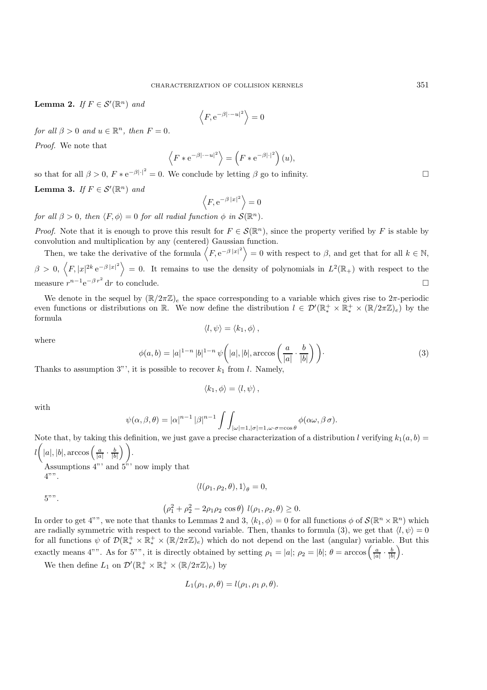**Lemma 2.** *If*  $F \in \mathcal{S}'(\mathbb{R}^n)$  *and* 

$$
\left\langle F, e^{-\beta|\cdot -u|^2} \right\rangle = 0
$$

*for all*  $\beta > 0$  *and*  $u \in \mathbb{R}^n$ *, then*  $F = 0$ *.* 

*Proof.* We note that

$$
\langle F * e^{-\beta |\cdot - u|^2} \rangle = \left( F * e^{-\beta |\cdot|^2} \right) (u),
$$

so that for all  $\beta > 0$ ,  $F * e^{-\beta | \cdot |^2} = 0$ . We conclude by letting  $\beta$  go to infinity.

**Lemma 3.** *If*  $F \in \mathcal{S}'(\mathbb{R}^n)$  *and* 

$$
\left\langle F, e^{-\beta |x|^2} \right\rangle = 0
$$

*for all*  $\beta > 0$ *, then*  $\langle F, \phi \rangle = 0$  *for all radial function*  $\phi$  *in*  $\mathcal{S}(\mathbb{R}^n)$ *.* 

*Proof.* Note that it is enough to prove this result for  $F \in \mathcal{S}(\mathbb{R}^n)$ , since the property verified by F is stable by convolution and multiplication by any (centered) Gaussian function.

Then, we take the derivative of the formula  $\langle F, e^{-\beta |x|^2} \rangle = 0$  with respect to  $\beta$ , and get that for all  $k \in \mathbb{N}$ ,  $\beta > 0, \langle F, |x|^{2k} e^{-\beta |x|^2} \rangle = 0$ . It remains to use the density of polynomials in  $L^2(\mathbb{R}_+)$  with respect to the measure  $r^{n-1}e^{-\beta r^2}$  dr to conclude.  $\Box$  dr to conclude.

We denote in the sequel by  $(\mathbb{R}/2\pi\mathbb{Z})_e$  the space corresponding to a variable which gives rise to  $2\pi$ -periodic even functions or distributions on  $\mathbb{R}$ . We now define the distribution  $l \in \mathcal{D}'(\mathbb{R}_*^+ \times \mathbb{R}_*^+ \times (\mathbb{R}/2\pi\mathbb{Z})_e)$  by the formula  $\langle l, \psi \rangle = \langle k_1, \phi \rangle$ .

where

$$
\phi(a,b) = |a|^{1-n} |b|^{1-n} \psi\left(|a|, |b|, \arccos\left(\frac{a}{|a|} \cdot \frac{b}{|b|}\right)\right).
$$
\n(3)

\nis possible to recover  $b$ , from  $l$ . Namely.

Thanks to assumption 3"', it is possible to recover  $k_1$  from l. Namely,

$$
\langle k_1,\phi\rangle=\langle l,\psi\rangle\,,
$$

with

$$
\psi(\alpha,\beta,\theta) = |\alpha|^{n-1} |\beta|^{n-1} \int \int_{|\omega|=1,|\sigma|=1, \omega \cdot \sigma = \cos \theta} \phi(\alpha \omega, \beta \sigma).
$$

Note that, by taking this definition, we just gave a precise characterization of a distribution l verifying  $k_1(a, b) =$  $(|a|, |b|, \arccos\left(\frac{a}{|a|} \cdot \frac{b}{|b|}\right)$  $)$ .

Assumptions  $4"$  and  $5"$  now imply that  $4"$ ".

$$
\langle l(\rho_1,\rho_2,\theta),1\rangle_\theta=0,
$$

$$
5"
$$

$$
(\rho_1^2 + \rho_2^2 - 2\rho_1 \rho_2 \cos \theta) l(\rho_1, \rho_2, \theta) \ge 0.
$$

In order to get 4"", we note that thanks to Lemmas 2 and 3,  $\langle k_1, \phi \rangle = 0$  for all functions  $\phi$  of  $\mathcal{S}(\mathbb{R}^n \times \mathbb{R}^n)$  which are radially symmetric with respect to the second variable. Then, thanks to formula (3), we get that  $\langle l, \psi \rangle = 0$ for all functions  $\psi$  of  $\mathcal{D}(\mathbb{R}_+^+ \times \mathbb{R}_+^+ \times (\mathbb{R}/2\pi\mathbb{Z})_e)$  which do not depend on the last (angular) variable. But this exactly means 4"". As for 5"", it is directly obtained by setting  $\rho_1 = |a|$ ;  $\rho_2 = |b|$ ;  $\theta = \arccos\left(\frac{a}{|a|} \cdot \frac{b}{|b|}\right)$ .

We then define  $L_1$  on  $\mathcal{D}'(\mathbb{R}^+_*) \times \mathbb{R}^+_* \times (\mathbb{R}/2\pi\mathbb{Z})_e)$  by

$$
L_1(\rho_1, \rho, \theta) = l(\rho_1, \rho_1, \rho, \theta).
$$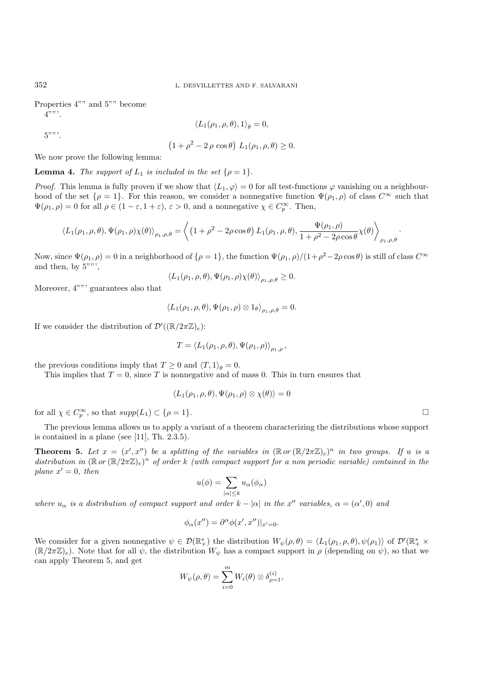Properties 4"" and 5"" become  $4"$ 

$$
\langle L_1(\rho_1,\rho,\theta),1\rangle_{\theta}=0,
$$

 $5$ "".

$$
(1+\rho^2-2\rho\cos\theta)\ L_1(\rho_1,\rho,\theta)\geq 0.
$$

We now prove the following lemma:

**Lemma 4.** *The support of*  $L_1$  *is included in the set*  $\{\rho = 1\}$ *.* 

*Proof.* This lemma is fully proven if we show that  $\langle L_1, \varphi \rangle = 0$  for all test-functions  $\varphi$  vanishing on a neighbourhood of the set  $\{\rho = 1\}$ . For this reason, we consider a nonnegative function  $\Psi(\rho_1, \rho)$  of class  $C^{\infty}$  such that  $\Psi(\rho_1, \rho) = 0$  for all  $\rho \in (1 - \varepsilon, 1 + \varepsilon), \varepsilon > 0$ , and a nonnegative  $\chi \in C_p^{\infty}$ . Then,

$$
\langle L_1(\rho_1,\rho,\theta),\Psi(\rho_1,\rho)\chi(\theta)\rangle_{\rho_1,\rho,\theta} = \left\langle \left(1+\rho^2-2\rho\cos\theta\right)L_1(\rho_1,\rho,\theta),\frac{\Psi(\rho_1,\rho)}{1+\rho^2-2\rho\cos\theta}\chi(\theta)\right\rangle_{\rho_1,\rho,\theta}.
$$

Now, since  $\Psi(\rho_1, \rho) = 0$  in a neighborhood of  $\{\rho = 1\}$ , the function  $\Psi(\rho_1, \rho)/(1 + \rho^2 - 2\rho \cos \theta)$  is still of class  $C^{\infty}$ and then, by 5""',

$$
\langle L_1(\rho_1,\rho,\theta),\Psi(\rho_1,\rho)\chi(\theta)\rangle_{\rho_1,\rho,\theta}\geq 0.
$$

Moreover, 4""' guarantees also that

$$
\langle L_1(\rho_1,\rho,\theta),\Psi(\rho_1,\rho)\otimes 1_\theta\rangle_{\rho_1,\rho,\theta}=0.
$$

If we consider the distribution of  $\mathcal{D}'((\mathbb{R}/2\pi\mathbb{Z})_e)$ :

$$
T = \langle L_1(\rho_1, \rho, \theta), \Psi(\rho_1, \rho) \rangle_{\rho_1, \rho},
$$

the previous conditions imply that  $T \geq 0$  and  $\langle T, 1 \rangle_a = 0$ .

This implies that  $T = 0$ , since T is nonnegative and of mass 0. This in turn ensures that

$$
\langle L_1(\rho_1,\rho,\theta),\Psi(\rho_1,\rho)\otimes\chi(\theta)\rangle=0
$$

for all  $\chi \in C_p^{\infty}$ , so that  $supp(L_1) \subset {\rho = 1}.$ 

The previous lemma allows us to apply a variant of a theorem characterizing the distributions whose support is contained in a plane (see [11], Th. 2.3.5).

**Theorem 5.** Let  $x = (x', x'')$  be a splitting of the variables in  $(\mathbb{R} \text{ or } (\mathbb{R}/2\pi\mathbb{Z})_e)^n$  in two groups. If u is a<br>distribution in  $(\mathbb{R} \text{ or } (\mathbb{R}/2\pi\mathbb{Z})_e)^n$  of order k (with compact support for a non-periodic *distribution in*  $(\mathbb{R} \text{ or } (\mathbb{R}/2\pi\mathbb{Z})_e)^n$  *of order* k *(with compact support for a non periodic variable) contained in the*  $plane x' = 0, then$ 

$$
u(\phi) = \sum_{|\alpha| \le k} u_{\alpha}(\phi_{\alpha})
$$

*where*  $u_{\alpha}$  *is a distribution of compact support and order*  $k - |\alpha|$  *in the* x<sup>''</sup> *variables*,  $\alpha = (\alpha', 0)$  *and* 

$$
\phi_{\alpha}(x'') = \partial^{\alpha}\phi(x',x'')|_{x'=0}.
$$

We consider for a given nonnegative  $\psi \in \mathcal{D}(\mathbb{R}^*_+)$  the distribution  $W_{\psi}(\rho, \theta) = \langle L_1(\rho_1, \rho, \theta), \psi(\rho_1) \rangle$  of  $\mathcal{D}'(\mathbb{R}^*_+ \times$ <br>( $\mathbb{R}^2/2\pi\mathbb{Z})$ ). Note that for all  $\psi$  the distribution  $W_{\psi}$  has a compa  $(\mathbb{R}/2\pi\mathbb{Z})_e$ ). Note that for all  $\psi$ , the distribution  $W_{\psi}$  has a compact support in  $\rho$  (depending on  $\psi$ ), so that we can apply Theorem 5, and get

$$
W_{\psi}(\rho,\theta) = \sum_{i=0}^{m} W_i(\theta) \otimes \delta_{\rho=1}^{(i)},
$$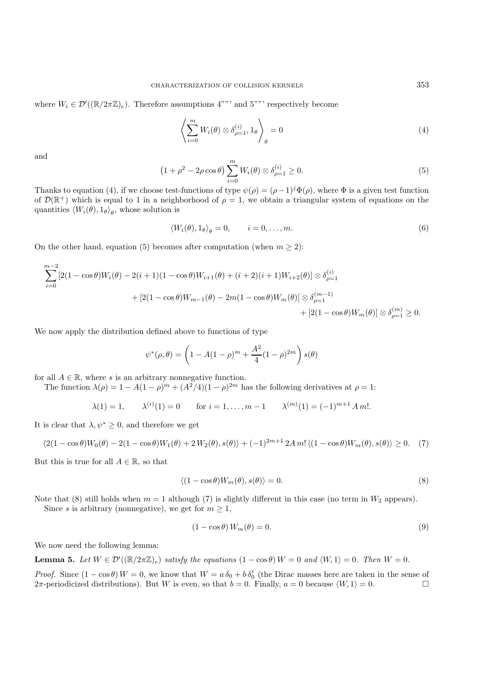where  $W_i \in \mathcal{D}'((\mathbb{R}/2\pi\mathbb{Z})_e)$ . Therefore assumptions 4""' and 5""' respectively become

$$
\left\langle \sum_{i=0}^{m} W_i(\theta) \otimes \delta_{\rho=1}^{(i)}, 1_{\theta} \right\rangle_{\theta} = 0 \tag{4}
$$

and

$$
(1+\rho^2-2\rho\cos\theta)\sum_{i=0}^m W_i(\theta)\otimes\delta_{\rho=1}^{(i)}\geq 0.
$$
 (5)

Thanks to equation (4), if we choose test-functions of type  $\psi(\rho)=(\rho-1)^{j}\Phi(\rho)$ , where  $\Phi$  is a given test function of  $\mathcal{D}(\mathbb{R}^+)$  which is equal to 1 in a neighborhood of  $\rho = 1$ , we obtain a triangular system of equations on the quantities  $\langle W_i(\theta), 1_\theta \rangle_\theta$ , whose solution is

$$
\langle W_i(\theta), 1_{\theta} \rangle_{\theta} = 0, \qquad i = 0, \dots, m. \tag{6}
$$

On the other hand, equation (5) becomes after computation (when  $m \geq 2$ ):

$$
\sum_{i=0}^{m-2} [2(1 - \cos \theta)W_i(\theta) - 2(i+1)(1 - \cos \theta)W_{i+1}(\theta) + (i+2)(i+1)W_{i+2}(\theta)] \otimes \delta_{\rho=1}^{(i)}
$$
  
+ 
$$
[2(1 - \cos \theta)W_{m-1}(\theta) - 2m(1 - \cos \theta)W_m(\theta)] \otimes \delta_{\rho=1}^{(m-1)}
$$
  
+ 
$$
[2(1 - \cos \theta)W_m(\theta)] \otimes \delta_{\rho=1}^{(m)} \ge 0.
$$

We now apply the distribution defined above to functions of type

$$
\psi^*(\rho, \theta) = \left(1 - A(1 - \rho)^m + \frac{A^2}{4}(1 - \rho)^{2m}\right)s(\theta)
$$

for all  $A \in \mathbb{R}$ , where s is an arbitrary nonnegative function.

The function  $\lambda(\rho)=1 - A(1 - \rho)^m + (A^2/4)(1 - \rho)^{2m}$  has the following derivatives at  $\rho = 1$ :

$$
\lambda(1) = 1,
$$
  $\lambda^{(i)}(1) = 0$  for  $i = 1,..., m - 1$   $\lambda^{(m)}(1) = (-1)^{m+1} A m!$ .

It is clear that  $\lambda, \psi^* \geq 0$ , and therefore we get

$$
\langle 2(1-\cos\theta)W_0(\theta) - 2(1-\cos\theta)W_1(\theta) + 2W_2(\theta), s(\theta) \rangle + (-1)^{2m+1} 2Am! \langle (1-\cos\theta)W_m(\theta), s(\theta) \rangle \ge 0. \tag{7}
$$

But this is true for all  $A \in \mathbb{R}$ , so that

$$
\langle (1 - \cos \theta) W_m(\theta), s(\theta) \rangle = 0. \tag{8}
$$

Note that (8) still holds when  $m = 1$  although (7) is slightly different in this case (no term in  $W_2$  appears).

Since s is arbitrary (nonnegative), we get for  $m \geq 1$ ,

$$
(1 - \cos \theta) W_m(\theta) = 0.
$$
\n(9)

We now need the following lemma:

**Lemma 5.** Let  $W \in \mathcal{D}'((\mathbb{R}/2\pi\mathbb{Z})_e)$  *satisfy the equations*  $(1 - \cos \theta)W = 0$  *and*  $\langle W, 1 \rangle = 0$ *. Then*  $W = 0$ *.* 

*Proof.* Since  $(1 - \cos \theta) W = 0$ , we know that  $W = a \delta_0 + b \delta'_0$  (the Dirac masses here are taken in the sense of  $2\pi$ -periodicized distributions). But W is even so that  $b = 0$ . Finally  $a = 0$  because  $(W, 1) = 0$  $2\pi$ -periodicized distributions). But W is even, so that  $b = 0$ . Finally,  $a = 0$  because  $\langle W, 1 \rangle = 0$ .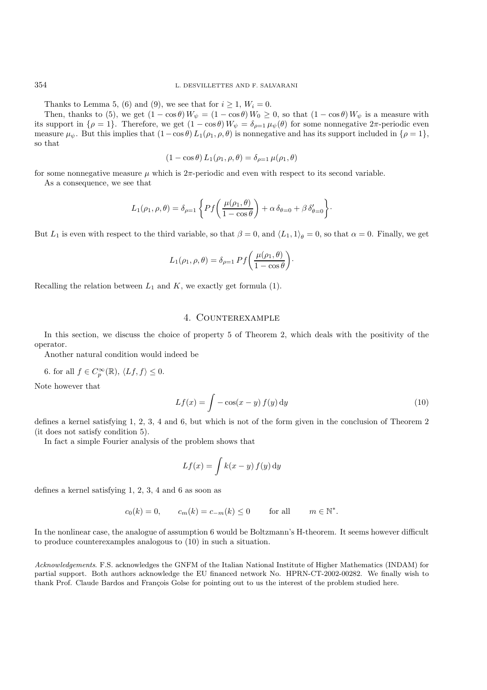Thanks to Lemma 5, (6) and (9), we see that for  $i \geq 1$ ,  $W_i = 0$ .

Then, thanks to (5), we get  $(1 - \cos \theta) W_{\psi} = (1 - \cos \theta) W_0 \ge 0$ , so that  $(1 - \cos \theta) W_{\psi}$  is a measure with support in  $\{g - 1\}$ . Therefore, we get  $(1 - \cos \theta) W_{\psi} = \delta_{\psi} u_{\psi}(\theta)$  for some nonnegative  $2\pi$ -periodic even its support in  $\{\rho = 1\}$ . Therefore, we get  $(1 - \cos \theta) W_{\psi} = \delta_{\rho=1} \mu_{\psi}(\theta)$  for some nonnegative  $2\pi$ -periodic even<br>measure  $\mu_{\psi}$ . But this implies that  $(1 - \cos \theta) L_{\psi}(\rho_{\psi}, \theta)$  is nonnegative and has its support i measure  $\mu_{\psi}$ . But this implies that  $(1-\cos\theta)L_1(\rho_1,\rho,\theta)$  is nonnegative and has its support included in  $\{\rho=1\}$ , so that

$$
(1 - \cos \theta) L_1(\rho_1, \rho, \theta) = \delta_{\rho=1} \mu(\rho_1, \theta)
$$

for some nonnegative measure  $\mu$  which is  $2\pi$ -periodic and even with respect to its second variable.

As a consequence, we see that

$$
L_1(\rho_1, \rho, \theta) = \delta_{\rho=1} \left\{ P f\left(\frac{\mu(\rho_1, \theta)}{1 - \cos \theta}\right) + \alpha \delta_{\theta=0} + \beta \delta'_{\theta=0} \right\}.
$$

But  $L_1$  is even with respect to the third variable, so that  $\beta = 0$ , and  $\langle L_1, 1 \rangle_\theta = 0$ , so that  $\alpha = 0$ . Finally, we get

$$
L_1(\rho_1, \rho, \theta) = \delta_{\rho=1} Pf \left( \frac{\mu(\rho_1, \theta)}{1 - \cos \theta} \right).
$$

Recalling the relation between  $L_1$  and  $K$ , we exactly get formula (1).

## 4. Counterexample

In this section, we discuss the choice of property 5 of Theorem 2, which deals with the positivity of the operator.

Another natural condition would indeed be

6. for all  $f \in C_p^{\infty}(\mathbb{R}), \langle Lf, f \rangle \leq 0$ .

Note however that

$$
Lf(x) = \int -\cos(x - y) f(y) dy
$$
\n(10)

defines a kernel satisfying 1, 2, 3, 4 and 6, but which is not of the form given in the conclusion of Theorem 2 (it does not satisfy condition 5).

In fact a simple Fourier analysis of the problem shows that

$$
Lf(x) = \int k(x - y) f(y) dy
$$

defines a kernel satisfying 1, 2, 3, 4 and 6 as soon as

$$
c_0(k) = 0, \qquad c_m(k) = c_{-m}(k) \le 0 \qquad \text{for all} \qquad m \in \mathbb{N}^*.
$$

In the nonlinear case, the analogue of assumption 6 would be Boltzmann's H-theorem. It seems however difficult to produce counterexamples analogous to (10) in such a situation.

*Acknowledgements*. F.S. acknowledges the GNFM of the Italian National Institute of Higher Mathematics (INDAM) for partial support. Both authors acknowledge the EU financed network No. HPRN-CT-2002-00282. We finally wish to thank Prof. Claude Bardos and François Golse for pointing out to us the interest of the problem studied here.